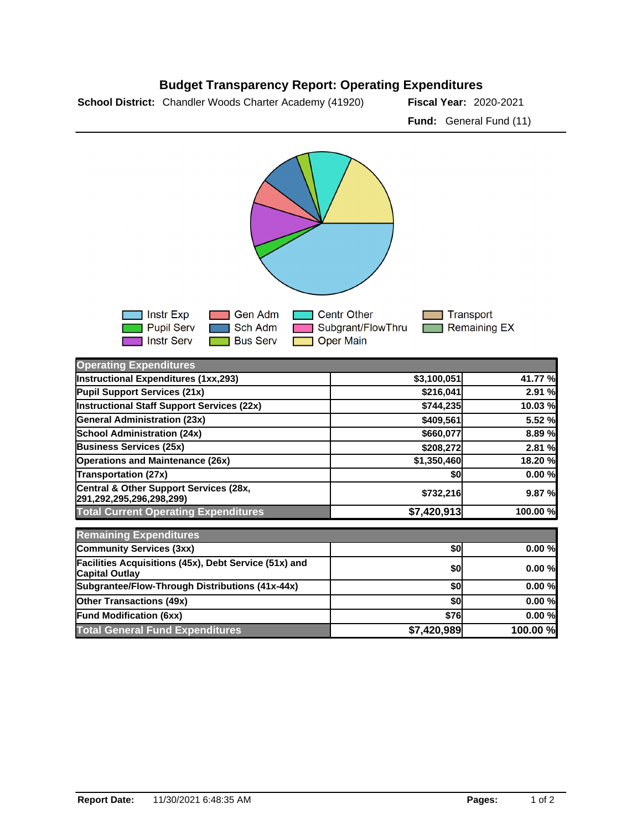

## **Budget Transparency Report: Operating Expenditures**

**School District:** Chandler Woods Charter Academy (41920) **Fiscal Year:** 2020-2021

| ⊟ Instr Exp<br><b>Pupil Serv</b><br><b>Notify Service The Instruct Service</b> | ████ Sch Adm | ■ Gen Adm ■ Centr Other<br>□ Subgrant/FlowThru<br><b>Bus Serv Depart Main</b> | <b>■■ Transport</b><br><b>□□ Remaining EX</b> |
|--------------------------------------------------------------------------------|--------------|-------------------------------------------------------------------------------|-----------------------------------------------|
|--------------------------------------------------------------------------------|--------------|-------------------------------------------------------------------------------|-----------------------------------------------|

| <b>Operating Expenditures</b>                                                  |             |          |
|--------------------------------------------------------------------------------|-------------|----------|
| Instructional Expenditures (1xx,293)                                           | \$3,100,051 | 41.77 %  |
| Pupil Support Services (21x)                                                   | \$216,041   | 2.91 %   |
| Instructional Staff Support Services (22x)                                     | \$744,235   | 10.03 %  |
| <b>General Administration (23x)</b>                                            | \$409,561   | 5.52 %   |
| <b>School Administration (24x)</b>                                             | \$660,077   | 8.89%    |
| <b>Business Services (25x)</b>                                                 | \$208,272   | 2.81 %   |
| <b>Operations and Maintenance (26x)</b>                                        | \$1,350,460 | 18.20 %  |
| <b>Transportation (27x)</b>                                                    | \$0         | 0.00%    |
| Central & Other Support Services (28x,<br>291,292,295,296,298,299)             | \$732,216   | 9.87 %   |
| <b>Total Current Operating Expenditures</b>                                    | \$7,420,913 | 100.00 % |
| <b>Remaining Expenditures</b>                                                  |             |          |
| <b>Community Services (3xx)</b>                                                | \$0         | 0.00%    |
| Facilities Acquisitions (45x), Debt Service (51x) and<br><b>Capital Outlay</b> | \$0         | 0.00%    |
| Subgrantee/Flow-Through Distributions (41x-44x)                                | \$0         | 0.00%    |
| <b>Other Transactions (49x)</b>                                                | \$0         | 0.00%    |
| <b>Fund Modification (6xx)</b>                                                 | <b>\$76</b> | 0.00%    |
| <b>Total General Fund Expenditures</b>                                         | \$7,420,989 | 100.00 % |